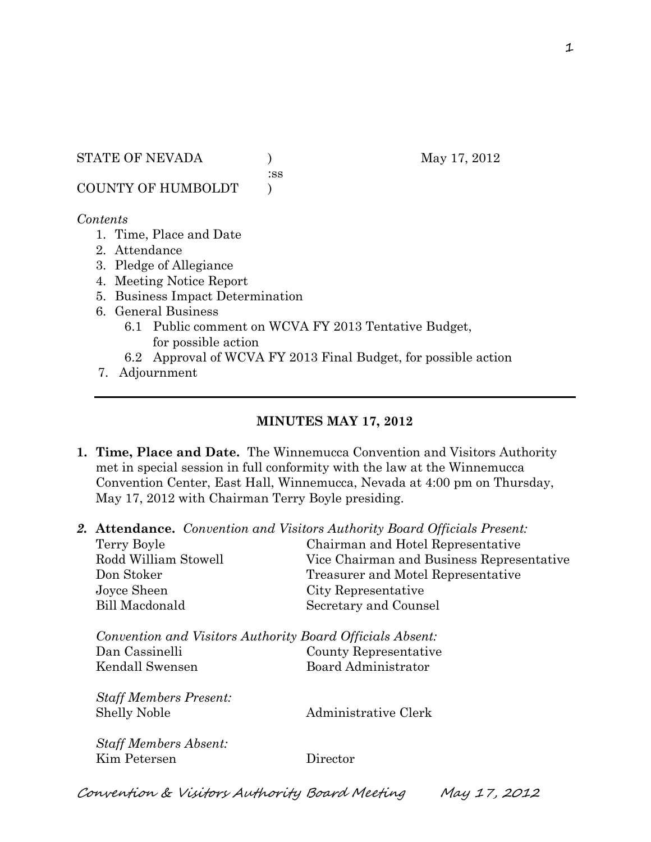STATE OF NEVADA (a) May 17, 2012

:ss

COUNTY OF HUMBOLDT )

#### *Contents*

- 1. Time, Place and Date
- 2. Attendance
- 3. Pledge of Allegiance
- 4. Meeting Notice Report
- 5. Business Impact Determination
- 6. General Business
	- 6.1 Public comment on WCVA FY 2013 Tentative Budget, for possible action
	- 6.2 Approval of WCVA FY 2013 Final Budget, for possible action
- 7. Adjournment

## **MINUTES MAY 17, 2012**

- **1. Time, Place and Date.** The Winnemucca Convention and Visitors Authority met in special session in full conformity with the law at the Winnemucca Convention Center, East Hall, Winnemucca, Nevada at 4:00 pm on Thursday, May 17, 2012 with Chairman Terry Boyle presiding.
- *2.* **Attendance.** *Convention and Visitors Authority Board Officials Present:*

| Terry Boyle                                               | Chairman and Hotel Representative         |
|-----------------------------------------------------------|-------------------------------------------|
| Rodd William Stowell                                      | Vice Chairman and Business Representative |
| Don Stoker                                                | Treasurer and Motel Representative        |
| Joyce Sheen                                               | City Representative                       |
| <b>Bill Macdonald</b>                                     | Secretary and Counsel                     |
| Convention and Visitors Authority Board Officials Absent: |                                           |
| Dan Cassinelli                                            | County Representative                     |
| Kendall Swensen                                           | <b>Board Administrator</b>                |
| <b>Staff Members Present:</b>                             |                                           |
| <b>Shelly Noble</b>                                       | Administrative Clerk                      |
| <b>Staff Members Absent:</b>                              |                                           |
| Kim Petersen                                              | Director                                  |
|                                                           |                                           |

Convention & Visitors Authority Board Meeting May 17, 2012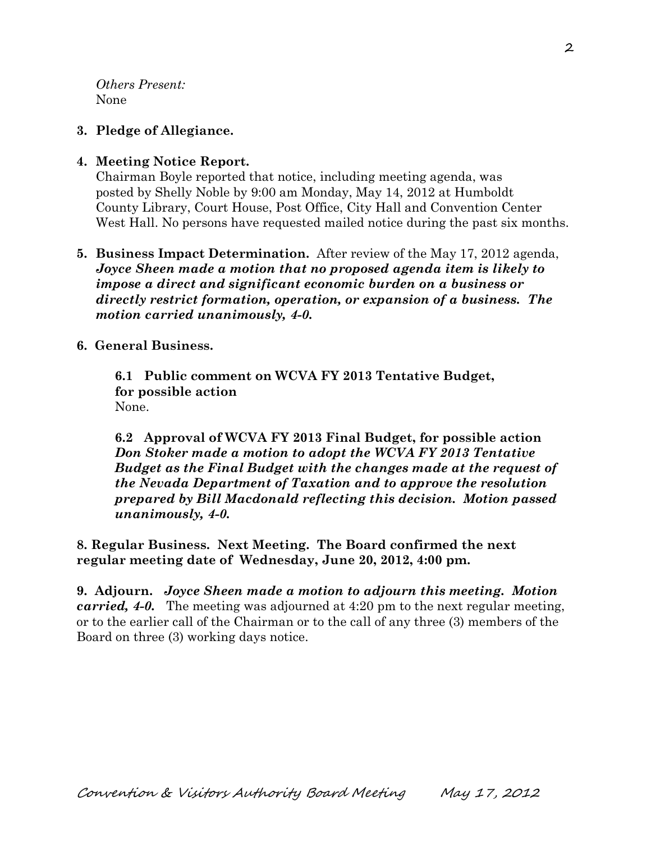*Others Present:* None

# **3. Pledge of Allegiance.**

# **4. Meeting Notice Report.**

Chairman Boyle reported that notice, including meeting agenda, was posted by Shelly Noble by 9:00 am Monday, May 14, 2012 at Humboldt County Library, Court House, Post Office, City Hall and Convention Center West Hall. No persons have requested mailed notice during the past six months.

## **5. Business Impact Determination.** After review of the May 17, 2012 agenda, *Joyce Sheen made a motion that no proposed agenda item is likely to impose a direct and significant economic burden on a business or directly restrict formation, operation, or expansion of a business. The motion carried unanimously, 4-0.*

#### **6. General Business.**

**6.1 Public comment on WCVA FY 2013 Tentative Budget, for possible action**  None.

**6.2 Approval of WCVA FY 2013 Final Budget, for possible action** *Don Stoker made a motion to adopt the WCVA FY 2013 Tentative Budget as the Final Budget with the changes made at the request of the Nevada Department of Taxation and to approve the resolution prepared by Bill Macdonald reflecting this decision. Motion passed unanimously, 4-0.* 

**8. Regular Business. Next Meeting. The Board confirmed the next regular meeting date of Wednesday, June 20, 2012, 4:00 pm.** 

**9. Adjourn.** *Joyce Sheen made a motion to adjourn this meeting. Motion carried, 4-0.* The meeting was adjourned at 4:20 pm to the next regular meeting, or to the earlier call of the Chairman or to the call of any three (3) members of the Board on three (3) working days notice.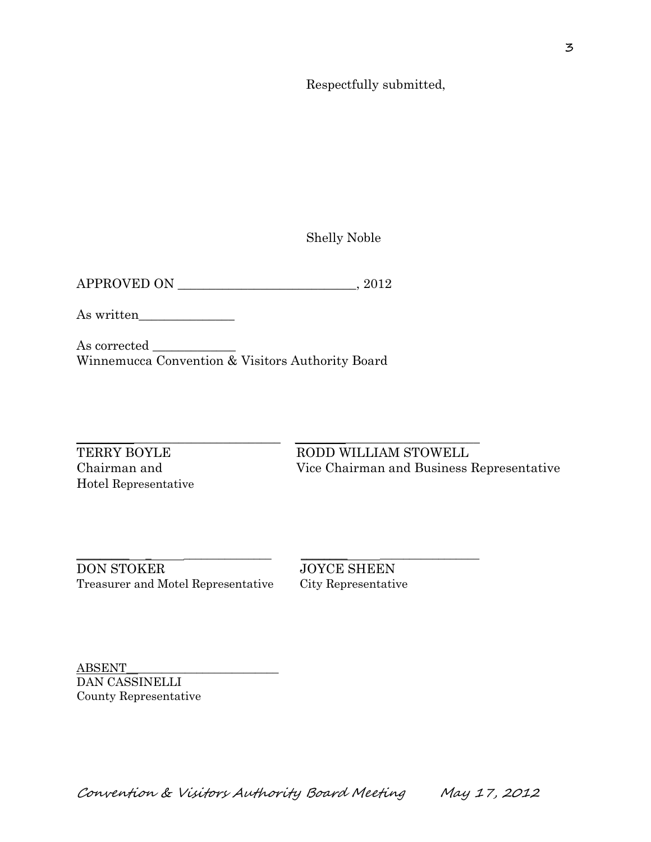Respectfully submitted,

Shelly Noble

APPROVED ON \_\_\_\_\_\_\_\_\_\_\_\_\_\_\_\_\_\_\_\_\_\_\_\_\_\_\_\_, 2012

As written\_\_\_\_\_\_\_\_\_\_\_\_\_\_\_

As corrected \_\_\_\_\_\_\_\_\_\_\_\_\_ Winnemucca Convention & Visitors Authority Board

\_\_\_\_\_\_\_\_\_\_\_\_\_\_\_\_\_\_\_\_\_\_\_\_\_\_\_\_\_\_\_\_ \_\_\_\_\_\_\_\_\_\_\_\_\_\_\_\_\_\_\_\_\_\_\_\_\_\_\_\_\_

Hotel Representative

TERRY BOYLE RODD WILLIAM STOWELL Chairman and Vice Chairman and Business Representative

 $\_$  , and the set of the set of the set of the set of the set of the set of the set of the set of the set of the set of the set of the set of the set of the set of the set of the set of the set of the set of the set of th DON STOKER JOYCE SHEEN Treasurer and Motel Representative City Representative

ABSENT\_\_\_\_\_\_\_\_\_\_\_\_\_\_\_\_\_\_\_\_\_\_\_\_\_\_ DAN CASSINELLI County Representative